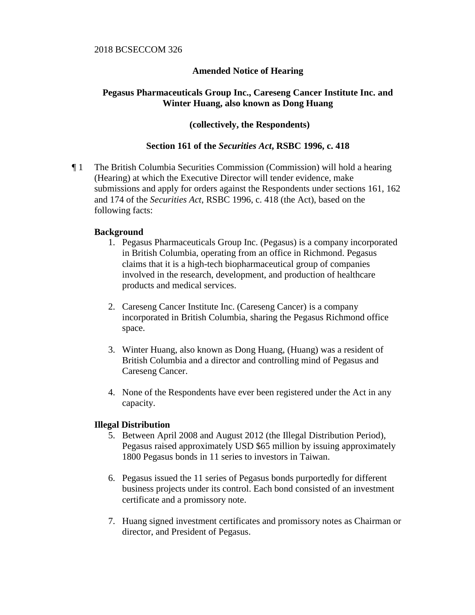## 2018 BCSECCOM 326

# **Amended Notice of Hearing**

# **Pegasus Pharmaceuticals Group Inc., Careseng Cancer Institute Inc. and Winter Huang, also known as Dong Huang**

## **(collectively, the Respondents)**

# **Section 161 of the** *Securities Act***, RSBC 1996, c. 418**

¶ 1 The British Columbia Securities Commission (Commission) will hold a hearing (Hearing) at which the Executive Director will tender evidence, make submissions and apply for orders against the Respondents under sections 161, 162 and 174 of the *Securities Act*, RSBC 1996, c. 418 (the Act), based on the following facts:

#### **Background**

- 1. Pegasus Pharmaceuticals Group Inc. (Pegasus) is a company incorporated in British Columbia, operating from an office in Richmond. Pegasus claims that it is a high-tech biopharmaceutical group of companies involved in the research, development, and production of healthcare products and medical services.
- 2. Careseng Cancer Institute Inc. (Careseng Cancer) is a company incorporated in British Columbia, sharing the Pegasus Richmond office space.
- 3. Winter Huang, also known as Dong Huang, (Huang) was a resident of British Columbia and a director and controlling mind of Pegasus and Careseng Cancer.
- 4. None of the Respondents have ever been registered under the Act in any capacity.

## **Illegal Distribution**

- 5. Between April 2008 and August 2012 (the Illegal Distribution Period), Pegasus raised approximately USD \$65 million by issuing approximately 1800 Pegasus bonds in 11 series to investors in Taiwan.
- 6. Pegasus issued the 11 series of Pegasus bonds purportedly for different business projects under its control. Each bond consisted of an investment certificate and a promissory note.
- 7. Huang signed investment certificates and promissory notes as Chairman or director, and President of Pegasus.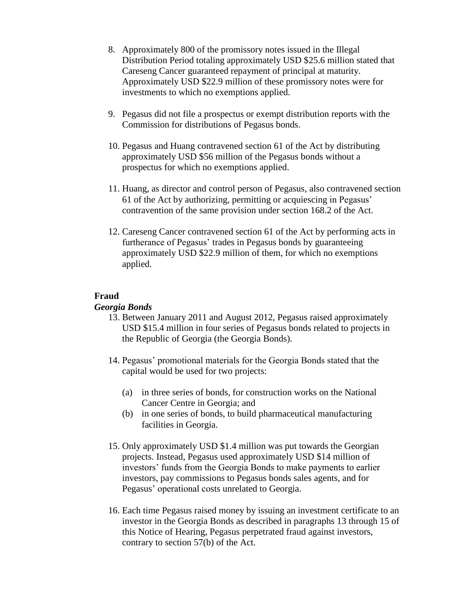- 8. Approximately 800 of the promissory notes issued in the Illegal Distribution Period totaling approximately USD \$25.6 million stated that Careseng Cancer guaranteed repayment of principal at maturity. Approximately USD \$22.9 million of these promissory notes were for investments to which no exemptions applied.
- 9. Pegasus did not file a prospectus or exempt distribution reports with the Commission for distributions of Pegasus bonds.
- 10. Pegasus and Huang contravened section 61 of the Act by distributing approximately USD \$56 million of the Pegasus bonds without a prospectus for which no exemptions applied.
- 11. Huang, as director and control person of Pegasus, also contravened section 61 of the Act by authorizing, permitting or acquiescing in Pegasus' contravention of the same provision under section 168.2 of the Act.
- 12. Careseng Cancer contravened section 61 of the Act by performing acts in furtherance of Pegasus' trades in Pegasus bonds by guaranteeing approximately USD \$22.9 million of them, for which no exemptions applied.

## **Fraud**

#### *Georgia Bonds*

- 13. Between January 2011 and August 2012, Pegasus raised approximately USD \$15.4 million in four series of Pegasus bonds related to projects in the Republic of Georgia (the Georgia Bonds).
- 14. Pegasus' promotional materials for the Georgia Bonds stated that the capital would be used for two projects:
	- (a) in three series of bonds, for construction works on the National Cancer Centre in Georgia; and
	- (b) in one series of bonds, to build pharmaceutical manufacturing facilities in Georgia.
- 15. Only approximately USD \$1.4 million was put towards the Georgian projects. Instead, Pegasus used approximately USD \$14 million of investors' funds from the Georgia Bonds to make payments to earlier investors, pay commissions to Pegasus bonds sales agents, and for Pegasus' operational costs unrelated to Georgia.
- 16. Each time Pegasus raised money by issuing an investment certificate to an investor in the Georgia Bonds as described in paragraphs 13 through 15 of this Notice of Hearing, Pegasus perpetrated fraud against investors, contrary to section 57(b) of the Act.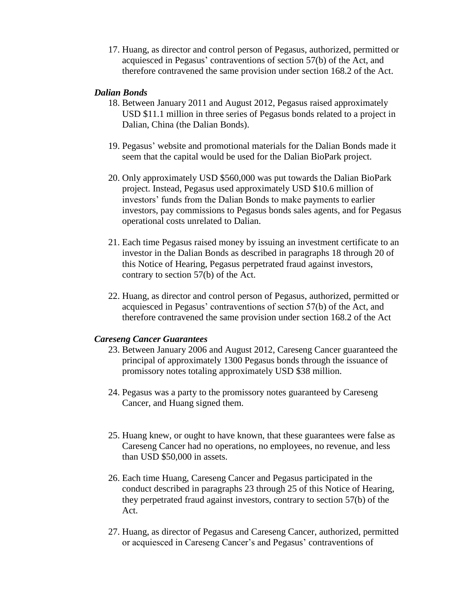17. Huang, as director and control person of Pegasus, authorized, permitted or acquiesced in Pegasus' contraventions of section 57(b) of the Act, and therefore contravened the same provision under section 168.2 of the Act.

#### *Dalian Bonds*

- 18. Between January 2011 and August 2012, Pegasus raised approximately USD \$11.1 million in three series of Pegasus bonds related to a project in Dalian, China (the Dalian Bonds).
- 19. Pegasus' website and promotional materials for the Dalian Bonds made it seem that the capital would be used for the Dalian BioPark project.
- 20. Only approximately USD \$560,000 was put towards the Dalian BioPark project. Instead, Pegasus used approximately USD \$10.6 million of investors' funds from the Dalian Bonds to make payments to earlier investors, pay commissions to Pegasus bonds sales agents, and for Pegasus operational costs unrelated to Dalian.
- 21. Each time Pegasus raised money by issuing an investment certificate to an investor in the Dalian Bonds as described in paragraphs 18 through 20 of this Notice of Hearing, Pegasus perpetrated fraud against investors, contrary to section 57(b) of the Act.
- 22. Huang, as director and control person of Pegasus, authorized, permitted or acquiesced in Pegasus' contraventions of section 57(b) of the Act, and therefore contravened the same provision under section 168.2 of the Act

#### *Careseng Cancer Guarantees*

- 23. Between January 2006 and August 2012, Careseng Cancer guaranteed the principal of approximately 1300 Pegasus bonds through the issuance of promissory notes totaling approximately USD \$38 million.
- 24. Pegasus was a party to the promissory notes guaranteed by Careseng Cancer, and Huang signed them.
- 25. Huang knew, or ought to have known, that these guarantees were false as Careseng Cancer had no operations, no employees, no revenue, and less than USD \$50,000 in assets.
- 26. Each time Huang, Careseng Cancer and Pegasus participated in the conduct described in paragraphs 23 through 25 of this Notice of Hearing, they perpetrated fraud against investors, contrary to section 57(b) of the Act.
- 27. Huang, as director of Pegasus and Careseng Cancer, authorized, permitted or acquiesced in Careseng Cancer's and Pegasus' contraventions of